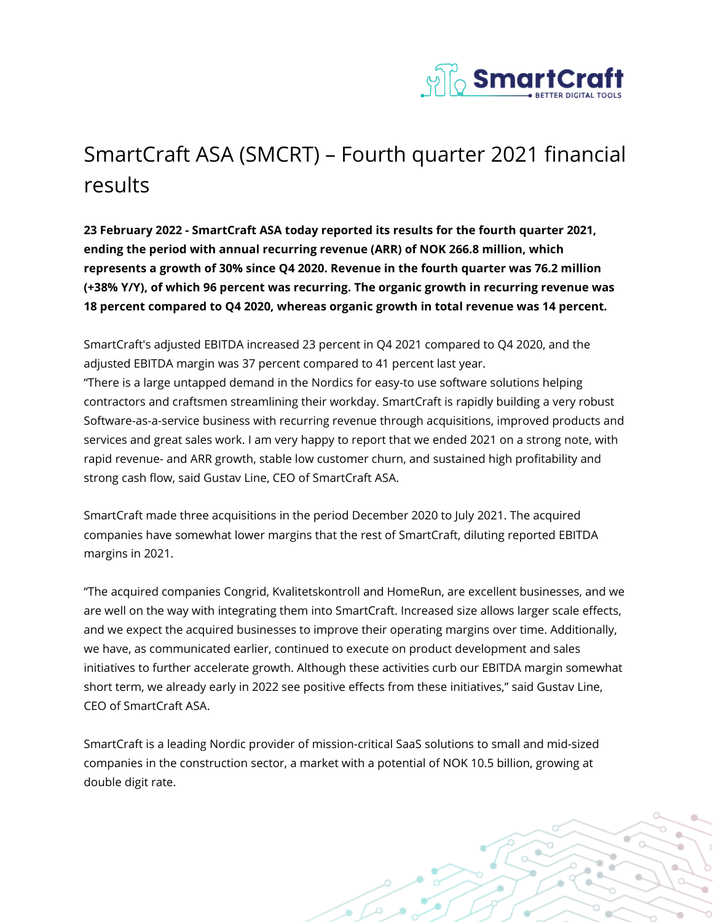

## SmartCraft ASA (SMCRT) – Fourth quarter 2021 financial results

**23 February 2022 - SmartCraft ASA today reported its results for the fourth quarter 2021, ending the period with annual recurring revenue (ARR) of NOK 266.8 million, which represents a growth of 30% since Q4 2020. Revenue in the fourth quarter was 76.2 million (+38% Y/Y), of which 96 percent was recurring. The organic growth in recurring revenue was 18 percent compared to Q4 2020, whereas organic growth in total revenue was 14 percent.**

SmartCraft's adjusted EBITDA increased 23 percent in Q4 2021 compared to Q4 2020, and the adjusted EBITDA margin was 37 percent compared to 41 percent last year. "There is a large untapped demand in the Nordics for easy-to use software solutions helping contractors and craftsmen streamlining their workday. SmartCraft is rapidly building a very robust Software-as-a-service business with recurring revenue through acquisitions, improved products and services and great sales work. I am very happy to report that we ended 2021 on a strong note, with rapid revenue- and ARR growth, stable low customer churn, and sustained high profitability and strong cash flow, said Gustav Line, CEO of SmartCraft ASA.

SmartCraft made three acquisitions in the period December 2020 to July 2021. The acquired companies have somewhat lower margins that the rest of SmartCraft, diluting reported EBITDA margins in 2021.

"The acquired companies Congrid, Kvalitetskontroll and HomeRun, are excellent businesses, and we are well on the way with integrating them into SmartCraft. Increased size allows larger scale effects, and we expect the acquired businesses to improve their operating margins over time. Additionally, we have, as communicated earlier, continued to execute on product development and sales initiatives to further accelerate growth. Although these activities curb our EBITDA margin somewhat short term, we already early in 2022 see positive effects from these initiatives," said Gustav Line, CEO of SmartCraft ASA.

SmartCraft is a leading Nordic provider of mission-critical SaaS solutions to small and mid-sized companies in the construction sector, a market with a potential of NOK 10.5 billion, growing at double digit rate.